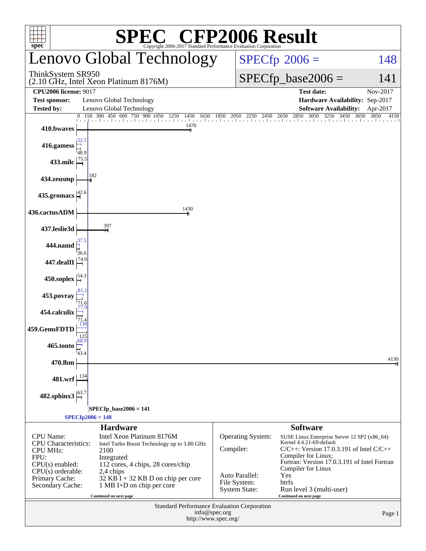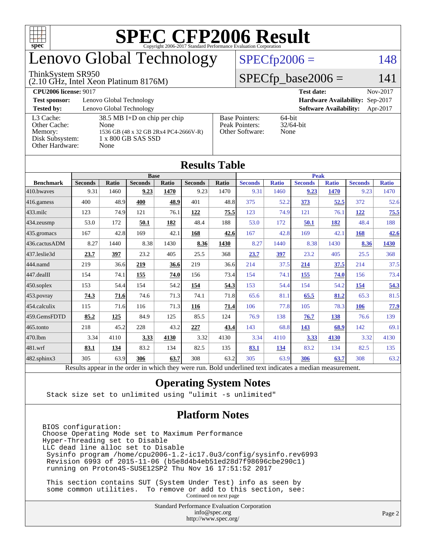

# enovo Global Technology

#### ThinkSystem SR950

#### (2.10 GHz, Intel Xeon Platinum 8176M)

[Other Hardware:](http://www.spec.org/auto/cpu2006/Docs/result-fields.html#OtherHardware) None

 $SPECfp\_base2006 = 141$ 

 $SPECfp2006 = 148$  $SPECfp2006 = 148$ 

| <b>CPU2006 license: 9017</b> |                                       |                       | <b>Test date:</b>                      | Nov-2017 |
|------------------------------|---------------------------------------|-----------------------|----------------------------------------|----------|
| <b>Test sponsor:</b>         | Lenovo Global Technology              |                       | <b>Hardware Availability: Sep-2017</b> |          |
| <b>Tested by:</b>            | Lenovo Global Technology              |                       | <b>Software Availability:</b>          | Apr-2017 |
| L3 Cache:                    | $38.5$ MB I+D on chip per chip        | <b>Base Pointers:</b> | $64$ -bit                              |          |
| Other Cache:                 | None                                  | Peak Pointers:        | $32/64$ -bit                           |          |
| Memory:                      | 1536 GB (48 x 32 GB 2Rx4 PC4-2666V-R) | Other Software:       | None                                   |          |
| Disk Subsystem:              | 1 x 800 GB SAS SSD                    |                       |                                        |          |

|                  |                                                                                                          |              |                |       | Results Table  |             |                |              |                |              |                |              |
|------------------|----------------------------------------------------------------------------------------------------------|--------------|----------------|-------|----------------|-------------|----------------|--------------|----------------|--------------|----------------|--------------|
|                  | <b>Base</b>                                                                                              |              |                |       |                | <b>Peak</b> |                |              |                |              |                |              |
| <b>Benchmark</b> | <b>Seconds</b>                                                                                           | <b>Ratio</b> | <b>Seconds</b> | Ratio | <b>Seconds</b> | Ratio       | <b>Seconds</b> | <b>Ratio</b> | <b>Seconds</b> | <b>Ratio</b> | <b>Seconds</b> | <b>Ratio</b> |
| 410.bwayes       | 9.31                                                                                                     | 1460         | 9.23           | 1470  | 9.23           | 1470        | 9.31           | 1460         | 9.23           | 1470         | 9.23           | 1470         |
| 416.gamess       | 400                                                                                                      | 48.9         | 400            | 48.9  | 401            | 48.8        | 375            | 52.2         | 373            | 52.5         | 372            | 52.6         |
| 433.milc         | 123                                                                                                      | 74.9         | 121            | 76.1  | 122            | 75.5        | 123            | 74.9         | 121            | 76.1         | 122            | 75.5         |
| 434.zeusmp       | 53.0                                                                                                     | 172          | 50.1           | 182   | 48.4           | 188         | 53.0           | 172          | 50.1           | 182          | 48.4           | 188          |
| 435.gromacs      | 167                                                                                                      | 42.8         | 169            | 42.1  | 168            | 42.6        | 167            | 42.8         | 169            | 42.1         | 168            | 42.6         |
| 436.cactusADM    | 8.27                                                                                                     | 1440         | 8.38           | 1430  | 8.36           | 1430        | 8.27           | 1440         | 8.38           | 1430         | 8.36           | 1430         |
| 437.leslie3d     | 23.7                                                                                                     | 397          | 23.2           | 405   | 25.5           | 368         | 23.7           | 397          | 23.2           | 405          | 25.5           | 368          |
| 444.namd         | 219                                                                                                      | 36.6         | 219            | 36.6  | 219            | 36.6        | 214            | 37.5         | 214            | 37.5         | 214            | 37.5         |
| 447.dealII       | 154                                                                                                      | 74.1         | 155            | 74.0  | 156            | 73.4        | 154            | 74.1         | 155            | 74.0         | 156            | 73.4         |
| 450.soplex       | 153                                                                                                      | 54.4         | 154            | 54.2  | 154            | 54.3        | 153            | 54.4         | 154            | 54.2         | 154            | 54.3         |
| 453.povray       | 74.3                                                                                                     | 71.6         | 74.6           | 71.3  | 74.1           | 71.8        | 65.6           | 81.1         | 65.5           | 81.2         | 65.3           | 81.5         |
| 454.calculix     | 115                                                                                                      | 71.6         | 116            | 71.3  | 116            | 71.4        | 106            | 77.8         | 105            | 78.3         | 106            | 77.9         |
| 459.GemsFDTD     | 85.2                                                                                                     | 125          | 84.9           | 125   | 85.5           | 124         | 76.9           | 138          | 76.7           | 138          | 76.6           | 139          |
| 465.tonto        | 218                                                                                                      | 45.2         | 228            | 43.2  | 227            | 43.4        | 143            | 68.8         | 143            | 68.9         | 142            | 69.1         |
| 470.1bm          | 3.34                                                                                                     | 4110         | 3.33           | 4130  | 3.32           | 4130        | 3.34           | 4110         | 3.33           | 4130         | 3.32           | 4130         |
| 481.wrf          | 83.1                                                                                                     | 134          | 83.2           | 134   | 82.5           | 135         | 83.1           | 134          | 83.2           | 134          | 82.5           | 135          |
| 482.sphinx3      | 305                                                                                                      | 63.9         | 306            | 63.7  | 308            | 63.2        | 305            | 63.9         | 306            | 63.7         | 308            | 63.2         |
|                  | Results appear in the order in which they were run. Bold underlined text indicates a median measurement. |              |                |       |                |             |                |              |                |              |                |              |

### **[Results Table](http://www.spec.org/auto/cpu2006/Docs/result-fields.html#ResultsTable)**

### **[Operating System Notes](http://www.spec.org/auto/cpu2006/Docs/result-fields.html#OperatingSystemNotes)**

Stack size set to unlimited using "ulimit -s unlimited"

### **[Platform Notes](http://www.spec.org/auto/cpu2006/Docs/result-fields.html#PlatformNotes)**

BIOS configuration: Choose Operating Mode set to Maximum Performance Hyper-Threading set to Disable LLC dead line alloc set to Disable Sysinfo program /home/cpu2006-1.2-ic17.0u3/config/sysinfo.rev6993 Revision 6993 of 2015-11-06 (b5e8d4b4eb51ed28d7f98696cbe290c1) running on Proton4S-SUSE12SP2 Thu Nov 16 17:51:52 2017

 This section contains SUT (System Under Test) info as seen by some common utilities. To remove or add to this section, see: Continued on next page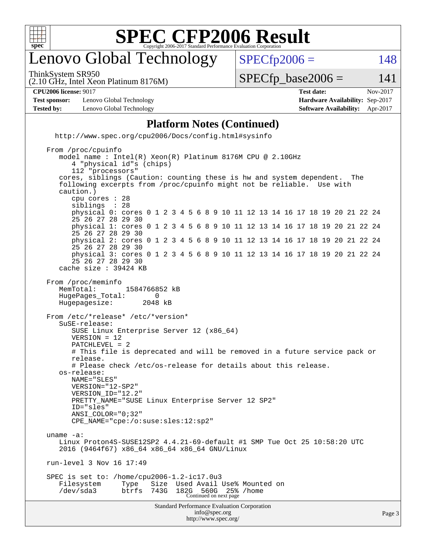

# enovo Global Technology

ThinkSystem SR950

 $SPECTp2006 = 148$ 

(2.10 GHz, Intel Xeon Platinum 8176M)

 $SPECTp\_base2006 = 141$ 

| <b>CPU2006 license: 9017</b> | Test date | $-2017$<br>Nov- |
|------------------------------|-----------|-----------------|
|------------------------------|-----------|-----------------|

**[Test sponsor:](http://www.spec.org/auto/cpu2006/Docs/result-fields.html#Testsponsor)** Lenovo Global Technology **[Hardware Availability:](http://www.spec.org/auto/cpu2006/Docs/result-fields.html#HardwareAvailability)** Sep-2017 **[Tested by:](http://www.spec.org/auto/cpu2006/Docs/result-fields.html#Testedby)** Lenovo Global Technology **[Software Availability:](http://www.spec.org/auto/cpu2006/Docs/result-fields.html#SoftwareAvailability)** Apr-2017

#### **[Platform Notes \(Continued\)](http://www.spec.org/auto/cpu2006/Docs/result-fields.html#PlatformNotes)**

 <http://www.spec.org/cpu2006/Docs/config.html#sysinfo> From /proc/cpuinfo

```
Standard Performance Evaluation Corporation
                                      info@spec.org
    model name : Intel(R) Xeon(R) Platinum 8176M CPU @ 2.10GHz
        4 "physical id"s (chips)
        112 "processors"
    cores, siblings (Caution: counting these is hw and system dependent. The
     following excerpts from /proc/cpuinfo might not be reliable. Use with
    caution.)
        cpu cores : 28
       siblings
        physical 0: cores 0 1 2 3 4 5 6 8 9 10 11 12 13 14 16 17 18 19 20 21 22 24
        25 26 27 28 29 30
        physical 1: cores 0 1 2 3 4 5 6 8 9 10 11 12 13 14 16 17 18 19 20 21 22 24
        25 26 27 28 29 30
        physical 2: cores 0 1 2 3 4 5 6 8 9 10 11 12 13 14 16 17 18 19 20 21 22 24
        25 26 27 28 29 30
        physical 3: cores 0 1 2 3 4 5 6 8 9 10 11 12 13 14 16 17 18 19 20 21 22 24
        25 26 27 28 29 30
     cache size : 39424 KB
 From /proc/meminfo
    MemTotal: 1584766852 kB
    HugePages_Total: 0
    Hugepagesize: 2048 kB
 From /etc/*release* /etc/*version*
    SuSE-release:
        SUSE Linux Enterprise Server 12 (x86_64)
        VERSION = 12
        PATCHLEVEL = 2
        # This file is deprecated and will be removed in a future service pack or
        release.
        # Please check /etc/os-release for details about this release.
     os-release:
        NAME="SLES"
        VERSION="12-SP2"
        VERSION_ID="12.2"
        PRETTY_NAME="SUSE Linux Enterprise Server 12 SP2"
        ID="sles"
        ANSI_COLOR="0;32"
        CPE_NAME="cpe:/o:suse:sles:12:sp2"
 uname -a:
    Linux Proton4S-SUSE12SP2 4.4.21-69-default #1 SMP Tue Oct 25 10:58:20 UTC
     2016 (9464f67) x86_64 x86_64 x86_64 GNU/Linux
 run-level 3 Nov 16 17:49
 SPEC is set to: /home/cpu2006-1.2-ic17.0u3
   Filesystem Type Size Used Avail Use% Mounted on<br>
/dev/sda3 btrfs 743G 182G 560G 25% /home
 /dev/sda3 btrfs 743G 182G 560G 25% /home
Continued on next page
```
<http://www.spec.org/>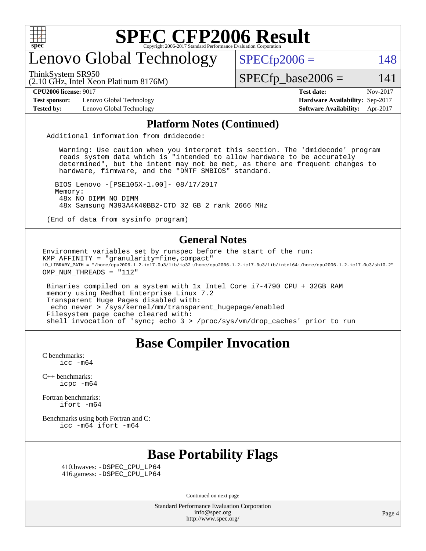

# enovo Global Technology

ThinkSystem SR950

 $SPECfp2006 = 148$  $SPECfp2006 = 148$ 

(2.10 GHz, Intel Xeon Platinum 8176M)

 $SPECTp\_base2006 = 141$ 

**[Test sponsor:](http://www.spec.org/auto/cpu2006/Docs/result-fields.html#Testsponsor)** Lenovo Global Technology **[Hardware Availability:](http://www.spec.org/auto/cpu2006/Docs/result-fields.html#HardwareAvailability)** Sep-2017

**[CPU2006 license:](http://www.spec.org/auto/cpu2006/Docs/result-fields.html#CPU2006license)** 9017 **[Test date:](http://www.spec.org/auto/cpu2006/Docs/result-fields.html#Testdate)** Nov-2017 **[Tested by:](http://www.spec.org/auto/cpu2006/Docs/result-fields.html#Testedby)** Lenovo Global Technology **[Software Availability:](http://www.spec.org/auto/cpu2006/Docs/result-fields.html#SoftwareAvailability)** Apr-2017

#### **[Platform Notes \(Continued\)](http://www.spec.org/auto/cpu2006/Docs/result-fields.html#PlatformNotes)**

Additional information from dmidecode:

 Warning: Use caution when you interpret this section. The 'dmidecode' program reads system data which is "intended to allow hardware to be accurately determined", but the intent may not be met, as there are frequent changes to hardware, firmware, and the "DMTF SMBIOS" standard.

 BIOS Lenovo -[PSE105X-1.00]- 08/17/2017 Memory: 48x NO DIMM NO DIMM 48x Samsung M393A4K40BB2-CTD 32 GB 2 rank 2666 MHz

(End of data from sysinfo program)

#### **[General Notes](http://www.spec.org/auto/cpu2006/Docs/result-fields.html#GeneralNotes)**

Environment variables set by runspec before the start of the run: KMP\_AFFINITY = "granularity=fine,compact" LD\_LIBRARY\_PATH = "/home/cpu2006-1.2-ic17.0u3/lib/ia32:/home/cpu2006-1.2-ic17.0u3/lib/intel64:/home/cpu2006-1.2-ic17.0u3/sh10.2" OMP\_NUM\_THREADS = "112"

 Binaries compiled on a system with 1x Intel Core i7-4790 CPU + 32GB RAM memory using Redhat Enterprise Linux 7.2 Transparent Huge Pages disabled with: echo never > /sys/kernel/mm/transparent\_hugepage/enabled Filesystem page cache cleared with: shell invocation of 'sync; echo 3 > /proc/sys/vm/drop\_caches' prior to run

### **[Base Compiler Invocation](http://www.spec.org/auto/cpu2006/Docs/result-fields.html#BaseCompilerInvocation)**

[C benchmarks](http://www.spec.org/auto/cpu2006/Docs/result-fields.html#Cbenchmarks):  $\text{icc}$   $-\text{m64}$ 

[C++ benchmarks:](http://www.spec.org/auto/cpu2006/Docs/result-fields.html#CXXbenchmarks) [icpc -m64](http://www.spec.org/cpu2006/results/res2017q4/cpu2006-20171128-50942.flags.html#user_CXXbase_intel_icpc_64bit_fc66a5337ce925472a5c54ad6a0de310)

[Fortran benchmarks](http://www.spec.org/auto/cpu2006/Docs/result-fields.html#Fortranbenchmarks): [ifort -m64](http://www.spec.org/cpu2006/results/res2017q4/cpu2006-20171128-50942.flags.html#user_FCbase_intel_ifort_64bit_ee9d0fb25645d0210d97eb0527dcc06e)

[Benchmarks using both Fortran and C](http://www.spec.org/auto/cpu2006/Docs/result-fields.html#BenchmarksusingbothFortranandC): [icc -m64](http://www.spec.org/cpu2006/results/res2017q4/cpu2006-20171128-50942.flags.html#user_CC_FCbase_intel_icc_64bit_bda6cc9af1fdbb0edc3795bac97ada53) [ifort -m64](http://www.spec.org/cpu2006/results/res2017q4/cpu2006-20171128-50942.flags.html#user_CC_FCbase_intel_ifort_64bit_ee9d0fb25645d0210d97eb0527dcc06e)

# **[Base Portability Flags](http://www.spec.org/auto/cpu2006/Docs/result-fields.html#BasePortabilityFlags)**

 410.bwaves: [-DSPEC\\_CPU\\_LP64](http://www.spec.org/cpu2006/results/res2017q4/cpu2006-20171128-50942.flags.html#suite_basePORTABILITY410_bwaves_DSPEC_CPU_LP64) 416.gamess: [-DSPEC\\_CPU\\_LP64](http://www.spec.org/cpu2006/results/res2017q4/cpu2006-20171128-50942.flags.html#suite_basePORTABILITY416_gamess_DSPEC_CPU_LP64)

Continued on next page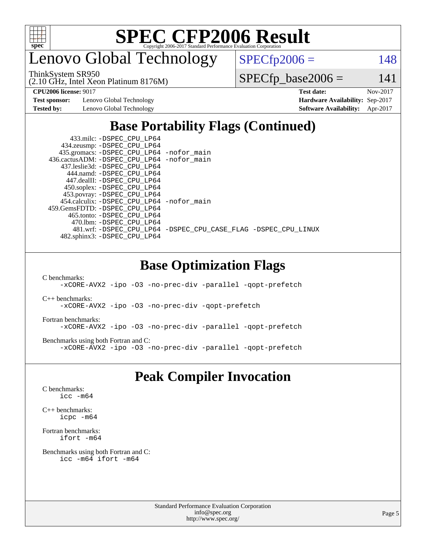

enovo Global Technology

ThinkSystem SR950

 $SPECTp2006 = 148$ 

(2.10 GHz, Intel Xeon Platinum 8176M)

 $SPECfp\_base2006 = 141$ 

**[Test sponsor:](http://www.spec.org/auto/cpu2006/Docs/result-fields.html#Testsponsor)** Lenovo Global Technology **[Hardware Availability:](http://www.spec.org/auto/cpu2006/Docs/result-fields.html#HardwareAvailability)** Sep-2017

**[CPU2006 license:](http://www.spec.org/auto/cpu2006/Docs/result-fields.html#CPU2006license)** 9017 **[Test date:](http://www.spec.org/auto/cpu2006/Docs/result-fields.html#Testdate)** Nov-2017 **[Tested by:](http://www.spec.org/auto/cpu2006/Docs/result-fields.html#Testedby)** Lenovo Global Technology **[Software Availability:](http://www.spec.org/auto/cpu2006/Docs/result-fields.html#SoftwareAvailability)** Apr-2017

# **[Base Portability Flags \(Continued\)](http://www.spec.org/auto/cpu2006/Docs/result-fields.html#BasePortabilityFlags)**

| 433.milc: -DSPEC CPU LP64                    |                                                                |
|----------------------------------------------|----------------------------------------------------------------|
| 434.zeusmp: -DSPEC_CPU_LP64                  |                                                                |
| 435.gromacs: -DSPEC_CPU_LP64 -nofor_main     |                                                                |
| 436.cactusADM: - DSPEC CPU LP64 - nofor main |                                                                |
| 437.leslie3d: -DSPEC CPU LP64                |                                                                |
| 444.namd: -DSPEC CPU LP64                    |                                                                |
| 447.dealII: -DSPEC CPU LP64                  |                                                                |
| 450.soplex: -DSPEC_CPU_LP64                  |                                                                |
| 453.povray: -DSPEC_CPU_LP64                  |                                                                |
| 454.calculix: -DSPEC_CPU_LP64 -nofor_main    |                                                                |
| 459.GemsFDTD: -DSPEC CPU LP64                |                                                                |
| 465.tonto: -DSPEC CPU LP64                   |                                                                |
| 470.1bm: - DSPEC CPU LP64                    |                                                                |
|                                              | 481.wrf: -DSPEC_CPU_LP64 -DSPEC_CPU_CASE_FLAG -DSPEC_CPU_LINUX |
| 482.sphinx3: -DSPEC CPU LP64                 |                                                                |

### **[Base Optimization Flags](http://www.spec.org/auto/cpu2006/Docs/result-fields.html#BaseOptimizationFlags)**

[C benchmarks](http://www.spec.org/auto/cpu2006/Docs/result-fields.html#Cbenchmarks):

[-xCORE-AVX2](http://www.spec.org/cpu2006/results/res2017q4/cpu2006-20171128-50942.flags.html#user_CCbase_f-xCORE-AVX2) [-ipo](http://www.spec.org/cpu2006/results/res2017q4/cpu2006-20171128-50942.flags.html#user_CCbase_f-ipo) [-O3](http://www.spec.org/cpu2006/results/res2017q4/cpu2006-20171128-50942.flags.html#user_CCbase_f-O3) [-no-prec-div](http://www.spec.org/cpu2006/results/res2017q4/cpu2006-20171128-50942.flags.html#user_CCbase_f-no-prec-div) [-parallel](http://www.spec.org/cpu2006/results/res2017q4/cpu2006-20171128-50942.flags.html#user_CCbase_f-parallel) [-qopt-prefetch](http://www.spec.org/cpu2006/results/res2017q4/cpu2006-20171128-50942.flags.html#user_CCbase_f-qopt-prefetch)

[C++ benchmarks:](http://www.spec.org/auto/cpu2006/Docs/result-fields.html#CXXbenchmarks) [-xCORE-AVX2](http://www.spec.org/cpu2006/results/res2017q4/cpu2006-20171128-50942.flags.html#user_CXXbase_f-xCORE-AVX2) [-ipo](http://www.spec.org/cpu2006/results/res2017q4/cpu2006-20171128-50942.flags.html#user_CXXbase_f-ipo) [-O3](http://www.spec.org/cpu2006/results/res2017q4/cpu2006-20171128-50942.flags.html#user_CXXbase_f-O3) [-no-prec-div](http://www.spec.org/cpu2006/results/res2017q4/cpu2006-20171128-50942.flags.html#user_CXXbase_f-no-prec-div) [-qopt-prefetch](http://www.spec.org/cpu2006/results/res2017q4/cpu2006-20171128-50942.flags.html#user_CXXbase_f-qopt-prefetch)

[Fortran benchmarks](http://www.spec.org/auto/cpu2006/Docs/result-fields.html#Fortranbenchmarks): [-xCORE-AVX2](http://www.spec.org/cpu2006/results/res2017q4/cpu2006-20171128-50942.flags.html#user_FCbase_f-xCORE-AVX2) [-ipo](http://www.spec.org/cpu2006/results/res2017q4/cpu2006-20171128-50942.flags.html#user_FCbase_f-ipo) [-O3](http://www.spec.org/cpu2006/results/res2017q4/cpu2006-20171128-50942.flags.html#user_FCbase_f-O3) [-no-prec-div](http://www.spec.org/cpu2006/results/res2017q4/cpu2006-20171128-50942.flags.html#user_FCbase_f-no-prec-div) [-parallel](http://www.spec.org/cpu2006/results/res2017q4/cpu2006-20171128-50942.flags.html#user_FCbase_f-parallel) [-qopt-prefetch](http://www.spec.org/cpu2006/results/res2017q4/cpu2006-20171128-50942.flags.html#user_FCbase_f-qopt-prefetch)

[Benchmarks using both Fortran and C](http://www.spec.org/auto/cpu2006/Docs/result-fields.html#BenchmarksusingbothFortranandC): [-xCORE-AVX2](http://www.spec.org/cpu2006/results/res2017q4/cpu2006-20171128-50942.flags.html#user_CC_FCbase_f-xCORE-AVX2) [-ipo](http://www.spec.org/cpu2006/results/res2017q4/cpu2006-20171128-50942.flags.html#user_CC_FCbase_f-ipo) [-O3](http://www.spec.org/cpu2006/results/res2017q4/cpu2006-20171128-50942.flags.html#user_CC_FCbase_f-O3) [-no-prec-div](http://www.spec.org/cpu2006/results/res2017q4/cpu2006-20171128-50942.flags.html#user_CC_FCbase_f-no-prec-div) [-parallel](http://www.spec.org/cpu2006/results/res2017q4/cpu2006-20171128-50942.flags.html#user_CC_FCbase_f-parallel) [-qopt-prefetch](http://www.spec.org/cpu2006/results/res2017q4/cpu2006-20171128-50942.flags.html#user_CC_FCbase_f-qopt-prefetch)

### **[Peak Compiler Invocation](http://www.spec.org/auto/cpu2006/Docs/result-fields.html#PeakCompilerInvocation)**

[C benchmarks](http://www.spec.org/auto/cpu2006/Docs/result-fields.html#Cbenchmarks): [icc -m64](http://www.spec.org/cpu2006/results/res2017q4/cpu2006-20171128-50942.flags.html#user_CCpeak_intel_icc_64bit_bda6cc9af1fdbb0edc3795bac97ada53)

[C++ benchmarks:](http://www.spec.org/auto/cpu2006/Docs/result-fields.html#CXXbenchmarks) [icpc -m64](http://www.spec.org/cpu2006/results/res2017q4/cpu2006-20171128-50942.flags.html#user_CXXpeak_intel_icpc_64bit_fc66a5337ce925472a5c54ad6a0de310)

[Fortran benchmarks](http://www.spec.org/auto/cpu2006/Docs/result-fields.html#Fortranbenchmarks): [ifort -m64](http://www.spec.org/cpu2006/results/res2017q4/cpu2006-20171128-50942.flags.html#user_FCpeak_intel_ifort_64bit_ee9d0fb25645d0210d97eb0527dcc06e)

[Benchmarks using both Fortran and C](http://www.spec.org/auto/cpu2006/Docs/result-fields.html#BenchmarksusingbothFortranandC): [icc -m64](http://www.spec.org/cpu2006/results/res2017q4/cpu2006-20171128-50942.flags.html#user_CC_FCpeak_intel_icc_64bit_bda6cc9af1fdbb0edc3795bac97ada53) [ifort -m64](http://www.spec.org/cpu2006/results/res2017q4/cpu2006-20171128-50942.flags.html#user_CC_FCpeak_intel_ifort_64bit_ee9d0fb25645d0210d97eb0527dcc06e)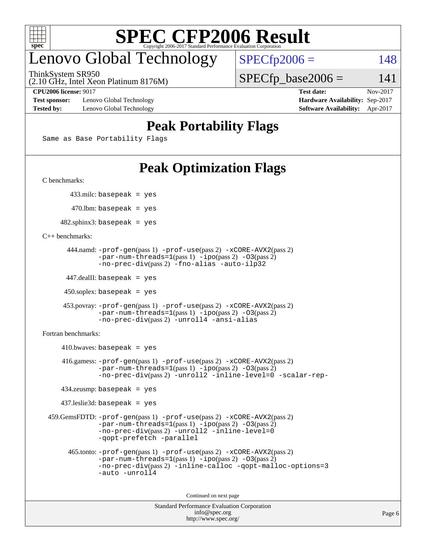

# enovo Global Technology

ThinkSystem SR950

 $SPECTp2006 = 148$ 

(2.10 GHz, Intel Xeon Platinum 8176M)

**[Test sponsor:](http://www.spec.org/auto/cpu2006/Docs/result-fields.html#Testsponsor)** Lenovo Global Technology **[Hardware Availability:](http://www.spec.org/auto/cpu2006/Docs/result-fields.html#HardwareAvailability)** Sep-2017 **[Tested by:](http://www.spec.org/auto/cpu2006/Docs/result-fields.html#Testedby)** Lenovo Global Technology **[Software Availability:](http://www.spec.org/auto/cpu2006/Docs/result-fields.html#SoftwareAvailability)** Apr-2017

**[CPU2006 license:](http://www.spec.org/auto/cpu2006/Docs/result-fields.html#CPU2006license)** 9017 **[Test date:](http://www.spec.org/auto/cpu2006/Docs/result-fields.html#Testdate)** Nov-2017

 $SPECTp\_base2006 = 141$ 

## **[Peak Portability Flags](http://www.spec.org/auto/cpu2006/Docs/result-fields.html#PeakPortabilityFlags)**

Same as Base Portability Flags

# **[Peak Optimization Flags](http://www.spec.org/auto/cpu2006/Docs/result-fields.html#PeakOptimizationFlags)**

[C benchmarks](http://www.spec.org/auto/cpu2006/Docs/result-fields.html#Cbenchmarks):

433.milc: basepeak = yes

 $470$ .lbm: basepeak = yes

 $482$ .sphinx3: basepeak = yes

[C++ benchmarks:](http://www.spec.org/auto/cpu2006/Docs/result-fields.html#CXXbenchmarks)

```
 444.namd: -prof-gen(pass 1) -prof-use(pass 2) -xCORE-AVX2(pass 2)
        -par-num-threads=1(pass 1) -ipo(pass 2) -O3(pass 2)
        -no-prec-div(pass 2) -fno-alias -auto-ilp32
```
447.dealII: basepeak = yes

 $450$ .soplex: basepeak = yes

```
 453.povray: -prof-gen(pass 1) -prof-use(pass 2) -xCORE-AVX2(pass 2)
         -par-num-threads=1-ipo-O3(pass 2)-no-prec-div(pass 2) -unroll4 -ansi-alias
```
[Fortran benchmarks](http://www.spec.org/auto/cpu2006/Docs/result-fields.html#Fortranbenchmarks):

```
410.bwaves: basepeak = yes 416.gamess: -prof-gen(pass 1) -prof-use(pass 2) -xCORE-AVX2(pass 2)
            -par-num-threads=1-ipo-O3(pass 2)-no-prec-div(pass 2) -unroll2 -inline-level=0 -scalar-rep-
    434.zeusmp: basepeak = yes
    437.leslie3d: basepeak = yes
 459.GemsFDTD: -prof-gen(pass 1) -prof-use(pass 2) -xCORE-AVX2(pass 2)
            -par-num-threads=1-ipo-O3(pass 2)-no-prec-div(pass 2) -unroll2 -inline-level=0
            -qopt-prefetch -parallel
      465.tonto: -prof-gen(pass 1) -prof-use(pass 2) -xCORE-AVX2(pass 2)
            -par-num-threads=1(pass 1) -ipo(pass 2) -O3(pass 2)
            -no-prec-div-inline-calloc-qopt-malloc-options=3
            -auto -unroll4
```
Continued on next page

```
Standard Performance Evaluation Corporation
             info@spec.org
           http://www.spec.org/
```